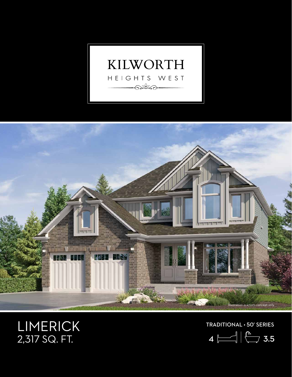



## LIMERICK 2,317 SQ. FT.

TRADITIONAL • 50' SERIES

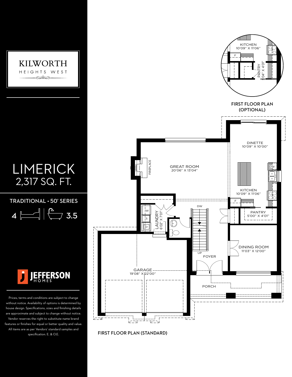

FIRST FLOOR PLAN (OPTIONAL)

NTRY<br>X 4'01' 5'04" X 4'01"

KITCHEN 10'09" X 11'06"

TTIIIIIIIII

F

DINETTE 10'09" X 10'00"

**KITCHEN** 10'09" X 11'06"

F

\$

DW

 $\circ$  $\overline{\phantom{0}}$ 

\$,

DINING ROOM 11'03" X 12'00"

PANTRY 5'00" X 4'01"

specification. E. & O.E.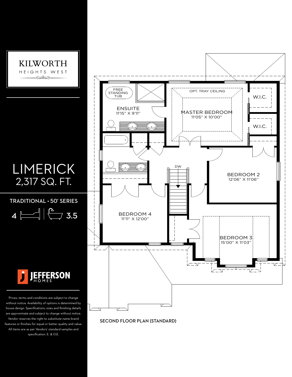

features or finishes for equal or better quality and value. All items are as per Vendors' standard samples and specification. E. & O.E.

APPROX - 1196 SQ.FT.

(ROOF LINES FOR ELEVATION BB-1)

SECOND FLOOR PLAN (STANDARD)

SECOND FLOOR PLAN (STANDARD)